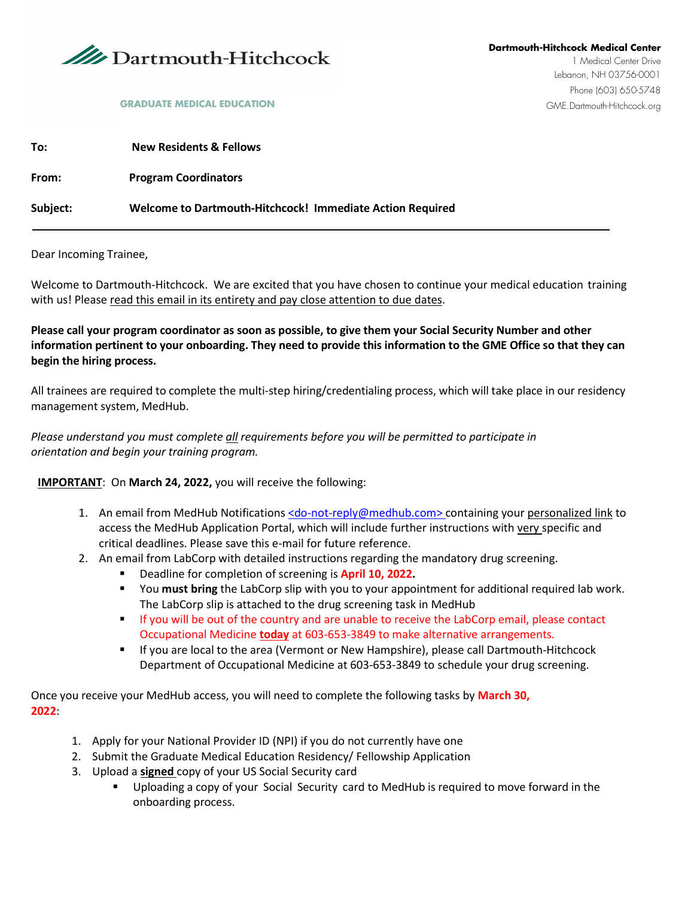

### **GRADUATE MEDICAL EDUCATION** GALL TO THE DATE OF SALE DATE OF SALE DATE OF SALE DATE OF SALE DATE OF SALE DATE OF SALE DATE OF SALE OF SALE OF SALE OF SALE OF SALE OF SALE OF SALE OF SALE OF SALE OF SALE OF SALE OF SALE OF

| To:      | <b>New Residents &amp; Fellows</b>                        |
|----------|-----------------------------------------------------------|
| From:    | <b>Program Coordinators</b>                               |
| Subject: | Welcome to Dartmouth-Hitchcock! Immediate Action Required |

Dear Incoming Trainee,

Welcome to Dartmouth-Hitchcock. We are excited that you have chosen to continue your medical education training with us! Please read this email in its entirety and pay close attention to due dates.

**Please call your program coordinator as soon as possible, to give them your Social Security Number and other information pertinent to your onboarding. They need to provide this information to the GME Office so that they can begin the hiring process.** 

All trainees are required to complete the multi-step hiring/credentialing process, which will take place in our residency management system, MedHub.

*Please understand you must complete all requirements before you will be permitted to participate in orientation and begin your training program.*

#### **IMPORTANT**: On **March 24, 2022,** you will receive the following:

- 1. An email from MedHub Notifications [<do-not-reply@medhub.com>](mailto:do-not-reply@medhub.com) containing your personalized link to access the MedHub Application Portal, which will include further instructions with very specific and critical deadlines. Please save this e-mail for future reference.
- 2. An email from LabCorp with detailed instructions regarding the mandatory drug screening.
	- Deadline for completion of screening is **April 10, 2022.**
	- You **must bring** the LabCorp slip with you to your appointment for additional required lab work. The LabCorp slip is attached to the drug screening task in MedHub
	- If you will be out of the country and are unable to receive the LabCorp email, please contact Occupational Medicine **today** at 603-653-3849 to make alternative arrangements.
	- If you are local to the area (Vermont or New Hampshire), please call Dartmouth-Hitchcock Department of Occupational Medicine at 603-653-3849 to schedule your drug screening.

Once you receive your MedHub access, you will need to complete the following tasks by **March 30, 2022**:

- 1. Apply for your National Provider ID (NPI) if you do not currently have one
- 2. Submit the Graduate Medical Education Residency/ Fellowship Application
- 3. Upload a **signed** copy of your US Social Security card
	- Uploading a copy of your Social Security card to MedHub is required to move forward in the onboarding process.